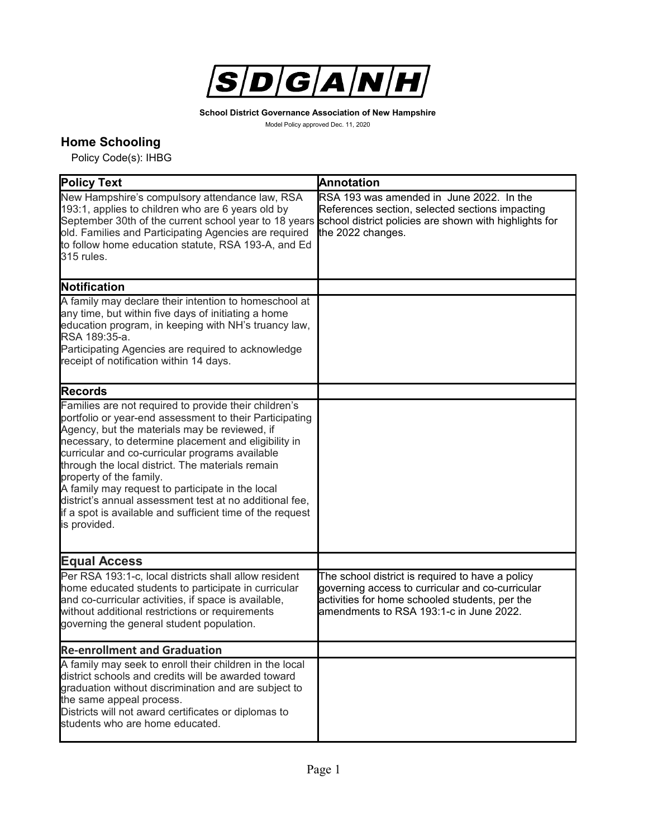

**School District Governance Association of New Hampshire**

Model Policy approved Dec. 11, 2020

## **Home Schooling**

Policy Code(s): IHBG

| <b>Policy Text</b>                                                                                                                                                                                                                                                                                                                                                                                                                                                                                                                                      | <b>Annotation</b>                                                                                                                                                                                 |
|---------------------------------------------------------------------------------------------------------------------------------------------------------------------------------------------------------------------------------------------------------------------------------------------------------------------------------------------------------------------------------------------------------------------------------------------------------------------------------------------------------------------------------------------------------|---------------------------------------------------------------------------------------------------------------------------------------------------------------------------------------------------|
| New Hampshire's compulsory attendance law, RSA<br>193:1, applies to children who are 6 years old by<br>September 30th of the current school year to 18 years school district policies are shown with highlights for<br>old. Families and Participating Agencies are required<br>to follow home education statute, RSA 193-A, and Ed<br>315 rules.                                                                                                                                                                                                       | RSA 193 was amended in June 2022. In the<br>References section, selected sections impacting<br>the 2022 changes.                                                                                  |
| <b>Notification</b>                                                                                                                                                                                                                                                                                                                                                                                                                                                                                                                                     |                                                                                                                                                                                                   |
| A family may declare their intention to homeschool at<br>any time, but within five days of initiating a home<br>education program, in keeping with NH's truancy law,<br>RSA 189:35-a.<br>Participating Agencies are required to acknowledge<br>receipt of notification within 14 days.                                                                                                                                                                                                                                                                  |                                                                                                                                                                                                   |
| <b>Records</b>                                                                                                                                                                                                                                                                                                                                                                                                                                                                                                                                          |                                                                                                                                                                                                   |
| Families are not required to provide their children's<br>portfolio or year-end assessment to their Participating<br>Agency, but the materials may be reviewed, if<br>necessary, to determine placement and eligibility in<br>curricular and co-curricular programs available<br>through the local district. The materials remain<br>property of the family.<br>A family may request to participate in the local<br>district's annual assessment test at no additional fee,<br>if a spot is available and sufficient time of the request<br>is provided. |                                                                                                                                                                                                   |
| <b>Equal Access</b>                                                                                                                                                                                                                                                                                                                                                                                                                                                                                                                                     |                                                                                                                                                                                                   |
| Per RSA 193:1-c, local districts shall allow resident<br>home educated students to participate in curricular<br>and co-curricular activities, if space is available,<br>without additional restrictions or requirements<br>governing the general student population.                                                                                                                                                                                                                                                                                    | The school district is required to have a policy<br>governing access to curricular and co-curricular<br>activities for home schooled students, per the<br>amendments to RSA 193:1-c in June 2022. |
| <b>Re-enrollment and Graduation</b>                                                                                                                                                                                                                                                                                                                                                                                                                                                                                                                     |                                                                                                                                                                                                   |
| A family may seek to enroll their children in the local<br>district schools and credits will be awarded toward<br>graduation without discrimination and are subject to<br>the same appeal process.<br>Districts will not award certificates or diplomas to<br>students who are home educated.                                                                                                                                                                                                                                                           |                                                                                                                                                                                                   |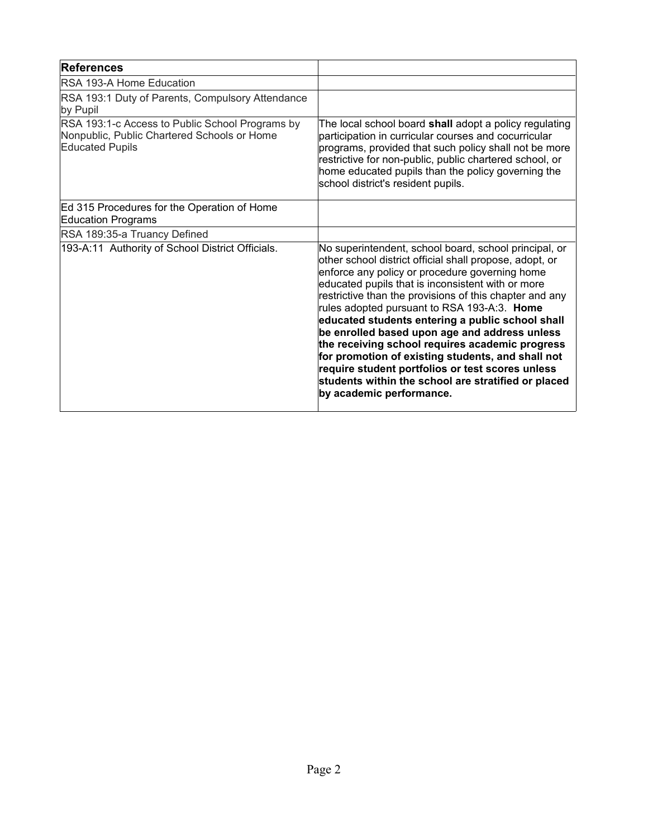| <b>References</b>                                                                                                        |                                                                                                                                                                                                                                                                                                                                                                                                                                                                                                                                                                                                                                                                                       |
|--------------------------------------------------------------------------------------------------------------------------|---------------------------------------------------------------------------------------------------------------------------------------------------------------------------------------------------------------------------------------------------------------------------------------------------------------------------------------------------------------------------------------------------------------------------------------------------------------------------------------------------------------------------------------------------------------------------------------------------------------------------------------------------------------------------------------|
| RSA 193-A Home Education                                                                                                 |                                                                                                                                                                                                                                                                                                                                                                                                                                                                                                                                                                                                                                                                                       |
| RSA 193:1 Duty of Parents, Compulsory Attendance<br>by Pupil                                                             |                                                                                                                                                                                                                                                                                                                                                                                                                                                                                                                                                                                                                                                                                       |
| RSA 193:1-c Access to Public School Programs by<br>Nonpublic, Public Chartered Schools or Home<br><b>Educated Pupils</b> | The local school board shall adopt a policy regulating<br>participation in curricular courses and cocurricular<br>programs, provided that such policy shall not be more<br>restrictive for non-public, public chartered school, or<br>home educated pupils than the policy governing the<br>school district's resident pupils.                                                                                                                                                                                                                                                                                                                                                        |
| Ed 315 Procedures for the Operation of Home<br><b>Education Programs</b>                                                 |                                                                                                                                                                                                                                                                                                                                                                                                                                                                                                                                                                                                                                                                                       |
| RSA 189:35-a Truancy Defined                                                                                             |                                                                                                                                                                                                                                                                                                                                                                                                                                                                                                                                                                                                                                                                                       |
| 193-A:11 Authority of School District Officials.                                                                         | No superintendent, school board, school principal, or<br>other school district official shall propose, adopt, or<br>enforce any policy or procedure governing home<br>educated pupils that is inconsistent with or more<br>restrictive than the provisions of this chapter and any<br>rules adopted pursuant to RSA 193-A:3. Home<br>educated students entering a public school shall<br>be enrolled based upon age and address unless<br>the receiving school requires academic progress<br>for promotion of existing students, and shall not<br>require student portfolios or test scores unless<br>students within the school are stratified or placed<br>by academic performance. |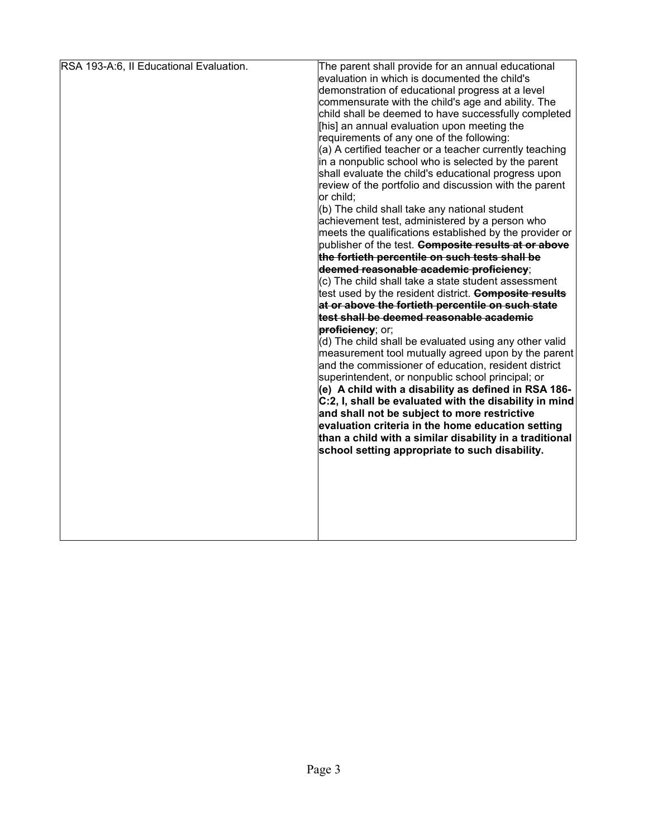| RSA 193-A:6, II Educational Evaluation. | The parent shall provide for an annual educational<br>evaluation in which is documented the child's<br>demonstration of educational progress at a level<br>commensurate with the child's age and ability. The<br>child shall be deemed to have successfully completed<br>[his] an annual evaluation upon meeting the<br>requirements of any one of the following:<br>(a) A certified teacher or a teacher currently teaching<br>in a nonpublic school who is selected by the parent<br>shall evaluate the child's educational progress upon<br>review of the portfolio and discussion with the parent<br>or child;<br>(b) The child shall take any national student<br>achievement test, administered by a person who<br>meets the qualifications established by the provider or<br>publisher of the test. <b>Composite results at or above</b><br>the fortieth percentile on such tests shall be<br>deemed reasonable academic proficiency;<br>(c) The child shall take a state student assessment<br>test used by the resident district. <b>Composite results</b><br>at or above the fortieth percentile on such state<br>test shall be deemed reasonable academic<br>proficiency; or;<br>(d) The child shall be evaluated using any other valid<br>measurement tool mutually agreed upon by the parent<br>and the commissioner of education, resident district<br>superintendent, or nonpublic school principal; or<br>(e) A child with a disability as defined in RSA 186-<br>C:2, I, shall be evaluated with the disability in mind<br>and shall not be subject to more restrictive<br>evaluation criteria in the home education setting<br>than a child with a similar disability in a traditional |
|-----------------------------------------|----------------------------------------------------------------------------------------------------------------------------------------------------------------------------------------------------------------------------------------------------------------------------------------------------------------------------------------------------------------------------------------------------------------------------------------------------------------------------------------------------------------------------------------------------------------------------------------------------------------------------------------------------------------------------------------------------------------------------------------------------------------------------------------------------------------------------------------------------------------------------------------------------------------------------------------------------------------------------------------------------------------------------------------------------------------------------------------------------------------------------------------------------------------------------------------------------------------------------------------------------------------------------------------------------------------------------------------------------------------------------------------------------------------------------------------------------------------------------------------------------------------------------------------------------------------------------------------------------------------------------------------------------------------------------------------------------------|
|                                         | school setting appropriate to such disability.                                                                                                                                                                                                                                                                                                                                                                                                                                                                                                                                                                                                                                                                                                                                                                                                                                                                                                                                                                                                                                                                                                                                                                                                                                                                                                                                                                                                                                                                                                                                                                                                                                                           |